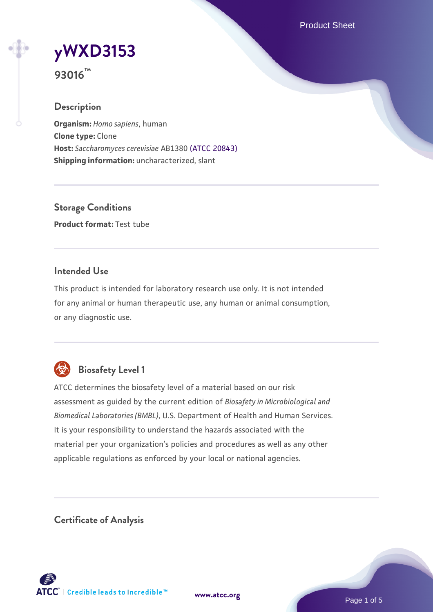Product Sheet

# **[yWXD3153](https://www.atcc.org/products/93016)**

**93016™**

## **Description**

**Organism:** *Homo sapiens*, human **Clone type:** Clone **Host:** *Saccharomyces cerevisiae* AB1380 [\(ATCC 20843\)](https://www.atcc.org/products/20843) **Shipping information:** uncharacterized, slant

**Storage Conditions Product format:** Test tube

## **Intended Use**

This product is intended for laboratory research use only. It is not intended for any animal or human therapeutic use, any human or animal consumption, or any diagnostic use.



# **Biosafety Level 1**

ATCC determines the biosafety level of a material based on our risk assessment as guided by the current edition of *Biosafety in Microbiological and Biomedical Laboratories (BMBL)*, U.S. Department of Health and Human Services. It is your responsibility to understand the hazards associated with the material per your organization's policies and procedures as well as any other applicable regulations as enforced by your local or national agencies.

**Certificate of Analysis**

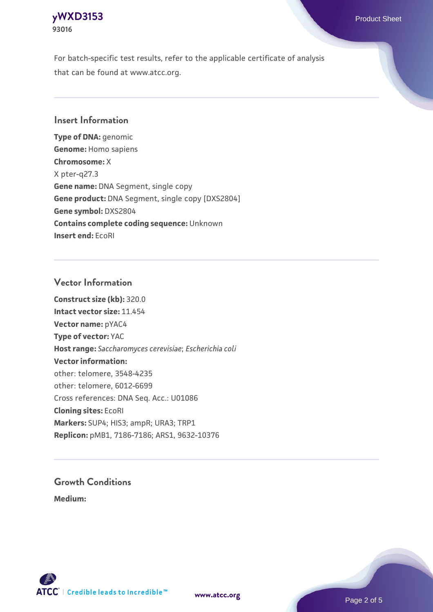## **[yWXD3153](https://www.atcc.org/products/93016)** Product Sheet **93016**

For batch-specific test results, refer to the applicable certificate of analysis that can be found at www.atcc.org.

## **Insert Information**

**Type of DNA:** genomic **Genome:** Homo sapiens **Chromosome:** X X pter-q27.3 **Gene name:** DNA Segment, single copy **Gene product:** DNA Segment, single copy [DXS2804] **Gene symbol:** DXS2804 **Contains complete coding sequence:** Unknown **Insert end:** EcoRI

## **Vector Information**

**Construct size (kb):** 320.0 **Intact vector size:** 11.454 **Vector name:** pYAC4 **Type of vector:** YAC **Host range:** *Saccharomyces cerevisiae*; *Escherichia coli* **Vector information:** other: telomere, 3548-4235 other: telomere, 6012-6699 Cross references: DNA Seq. Acc.: U01086 **Cloning sites:** EcoRI **Markers:** SUP4; HIS3; ampR; URA3; TRP1 **Replicon:** pMB1, 7186-7186; ARS1, 9632-10376

# **Growth Conditions**

**Medium:** 



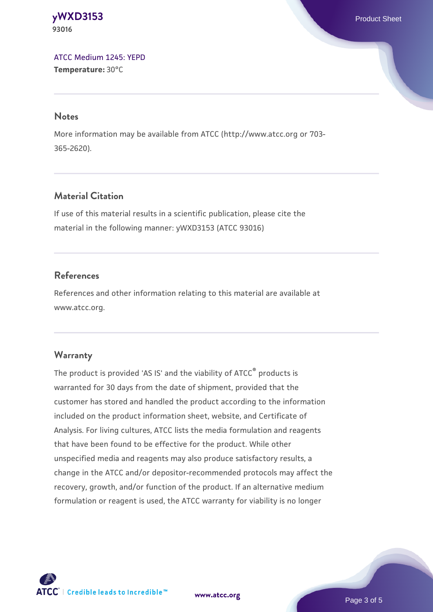#### **[yWXD3153](https://www.atcc.org/products/93016)** Product Sheet **93016**

[ATCC Medium 1245: YEPD](https://www.atcc.org/-/media/product-assets/documents/microbial-media-formulations/1/2/4/5/atcc-medium-1245.pdf?rev=705ca55d1b6f490a808a965d5c072196) **Temperature:** 30°C

#### **Notes**

More information may be available from ATCC (http://www.atcc.org or 703- 365-2620).

## **Material Citation**

If use of this material results in a scientific publication, please cite the material in the following manner: yWXD3153 (ATCC 93016)

## **References**

References and other information relating to this material are available at www.atcc.org.

## **Warranty**

The product is provided 'AS IS' and the viability of ATCC® products is warranted for 30 days from the date of shipment, provided that the customer has stored and handled the product according to the information included on the product information sheet, website, and Certificate of Analysis. For living cultures, ATCC lists the media formulation and reagents that have been found to be effective for the product. While other unspecified media and reagents may also produce satisfactory results, a change in the ATCC and/or depositor-recommended protocols may affect the recovery, growth, and/or function of the product. If an alternative medium formulation or reagent is used, the ATCC warranty for viability is no longer



**[www.atcc.org](http://www.atcc.org)**

Page 3 of 5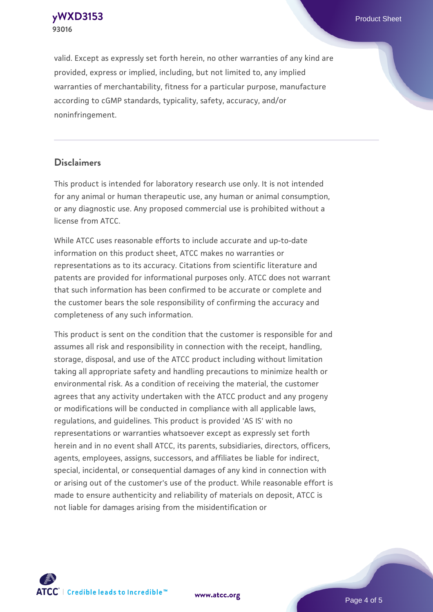**[yWXD3153](https://www.atcc.org/products/93016)** Product Sheet **93016**

valid. Except as expressly set forth herein, no other warranties of any kind are provided, express or implied, including, but not limited to, any implied warranties of merchantability, fitness for a particular purpose, manufacture according to cGMP standards, typicality, safety, accuracy, and/or noninfringement.

#### **Disclaimers**

This product is intended for laboratory research use only. It is not intended for any animal or human therapeutic use, any human or animal consumption, or any diagnostic use. Any proposed commercial use is prohibited without a license from ATCC.

While ATCC uses reasonable efforts to include accurate and up-to-date information on this product sheet, ATCC makes no warranties or representations as to its accuracy. Citations from scientific literature and patents are provided for informational purposes only. ATCC does not warrant that such information has been confirmed to be accurate or complete and the customer bears the sole responsibility of confirming the accuracy and completeness of any such information.

This product is sent on the condition that the customer is responsible for and assumes all risk and responsibility in connection with the receipt, handling, storage, disposal, and use of the ATCC product including without limitation taking all appropriate safety and handling precautions to minimize health or environmental risk. As a condition of receiving the material, the customer agrees that any activity undertaken with the ATCC product and any progeny or modifications will be conducted in compliance with all applicable laws, regulations, and guidelines. This product is provided 'AS IS' with no representations or warranties whatsoever except as expressly set forth herein and in no event shall ATCC, its parents, subsidiaries, directors, officers, agents, employees, assigns, successors, and affiliates be liable for indirect, special, incidental, or consequential damages of any kind in connection with or arising out of the customer's use of the product. While reasonable effort is made to ensure authenticity and reliability of materials on deposit, ATCC is not liable for damages arising from the misidentification or



**[www.atcc.org](http://www.atcc.org)**

Page 4 of 5